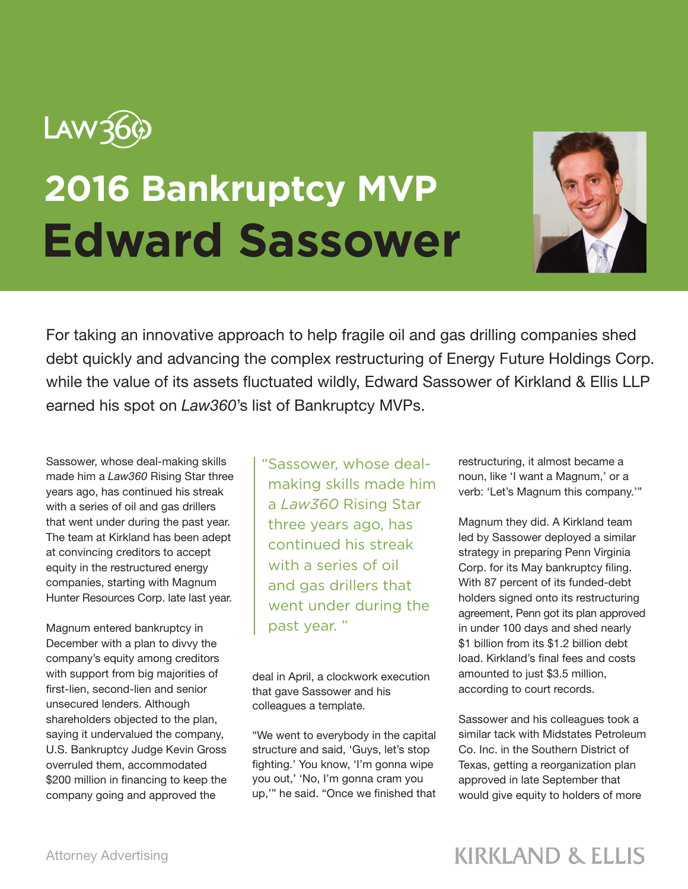

## **2016 Bankruptcy MVP Edward Sassower**



For taking an innovative approach to help fragile oil and gas drilling companies shed debt quickly and advancing the complex restructuring of Energy Future Holdings Corp. while the value of its assets fluctuated wildly, Edward Sassower of Kirkland & Ellis LLP earned his spot on *Law360*'s list of Bankruptcy MVPs.

Sassower, whose deal-making skills made him a *Law360* Rising Star three years ago, has continued his streak with a series of oil and gas drillers that went under during the past year. The team at Kirkland has been adept at convincing creditors to accept equity in the restructured energy companies, starting with Magnum Hunter Resources Corp. late last year.

Magnum entered bankruptcy in December with a plan to divvy the company's equity among creditors with support from big majorities of first-lien, second-lien and senior unsecured lenders. Although shareholders objected to the plan, saying it undervalued the company, U.S. Bankruptcy Judge Kevin Gross overruled them, accommodated \$200 million in financing to keep the company going and approved the

"Sassower, whose dealmaking skills made him a *Law360* Rising Star three years ago, has continued his streak with a series of oil and gas drillers that went under during the past year. "

deal in April, a clockwork execution that gave Sassower and his colleagues a template.

"We went to everybody in the capital structure and said, 'Guys, let's stop fighting.' You know, 'I'm gonna wipe you out,' 'No, I'm gonna cram you up,'" he said. "Once we finished that restructuring, it almost became a noun, like 'I want a Magnum,' or a verb: 'Let's Magnum this company.'"

Magnum they did. A Kirkland team led by Sassower deployed a similar strategy in preparing Penn Virginia Corp. for its May bankruptcy filing. With 87 percent of its funded-debt holders signed onto its restructuring agreement, Penn got its plan approved in under 100 days and shed nearly \$1 billion from its \$1.2 billion debt load. Kirkland's final fees and costs amounted to just \$3.5 million, according to court records.

Sassower and his colleagues took a similar tack with Midstates Petroleum Co. Inc. in the Southern District of Texas, getting a reorganization plan approved in late September that would give equity to holders of more